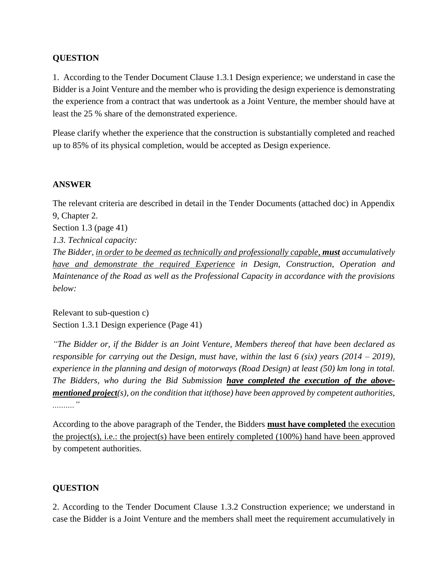## **QUESTION**

1. According to the Tender Document Clause 1.3.1 Design experience; we understand in case the Bidder is a Joint Venture and the member who is providing the design experience is demonstrating the experience from a contract that was undertook as a Joint Venture, the member should have at least the 25 % share of the demonstrated experience.

Please clarify whether the experience that the construction is substantially completed and reached up to 85% of its physical completion, would be accepted as Design experience.

## **ANSWER**

The relevant criteria are described in detail in the Tender Documents (attached doc) in Appendix 9, Chapter 2.

Section 1.3 (page 41) *1.3. Technical capacity:*

*The Bidder, in order to be deemed as technically and professionally capable, must accumulatively have and demonstrate the required Experience in Design, Construction, Operation and Maintenance of the Road as well as the Professional Capacity in accordance with the provisions below:*

Relevant to sub-question c) Section 1.3.1 Design experience (Page 41)

*"The Bidder or, if the Bidder is an Joint Venture, Members thereof that have been declared as responsible for carrying out the Design, must have, within the last 6 (six) years (2014 – 2019), experience in the planning and design of motorways (Road Design) at least (50) km long in total. The Bidders, who during the Bid Submission have completed the execution of the abovementioned project(s), on the condition that it(those) have been approved by competent authorities, .........."*

According to the above paragraph of the Tender, the Bidders **must have completed** the execution the project(s), i.e.: the project(s) have been entirely completed  $(100\%)$  hand have been approved by competent authorities.

# **QUESTION**

2. According to the Tender Document Clause 1.3.2 Construction experience; we understand in case the Bidder is a Joint Venture and the members shall meet the requirement accumulatively in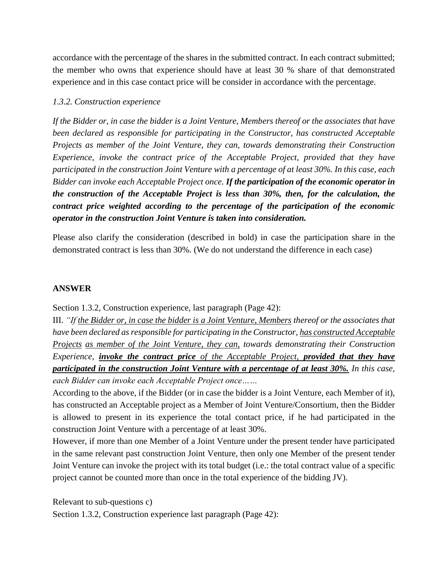accordance with the percentage of the shares in the submitted contract. In each contract submitted; the member who owns that experience should have at least 30 % share of that demonstrated experience and in this case contact price will be consider in accordance with the percentage.

## *1.3.2. Construction experience*

*If the Bidder or, in case the bidder is a Joint Venture, Members thereof or the associates that have been declared as responsible for participating in the Constructor, has constructed Acceptable Projects as member of the Joint Venture, they can, towards demonstrating their Construction Experience, invoke the contract price of the Acceptable Project, provided that they have participated in the construction Joint Venture with a percentage of at least 30%. In this case, each Bidder can invoke each Acceptable Project once. If the participation of the economic operator in the construction of the Acceptable Project is less than 30%, then, for the calculation, the contract price weighted according to the percentage of the participation of the economic operator in the construction Joint Venture is taken into consideration.*

Please also clarify the consideration (described in bold) in case the participation share in the demonstrated contract is less than 30%. (We do not understand the difference in each case)

## **ANSWER**

Section 1.3.2, Construction experience, last paragraph (Page 42):

III. *"If the Bidder or, in case the bidder is a Joint Venture, Members thereof or the associates that have been declared as responsible for participating in the Constructor, has constructed Acceptable Projects as member of the Joint Venture, they can, towards demonstrating their Construction Experience, invoke the contract price of the Acceptable Project, provided that they have participated in the construction Joint Venture with a percentage of at least 30%. In this case, each Bidder can invoke each Acceptable Project once……*

According to the above, if the Bidder (or in case the bidder is a Joint Venture, each Member of it), has constructed an Acceptable project as a Member of Joint Venture/Consortium, then the Bidder is allowed to present in its experience the total contact price, if he had participated in the construction Joint Venture with a percentage of at least 30%.

However, if more than one Member of a Joint Venture under the present tender have participated in the same relevant past construction Joint Venture, then only one Member of the present tender Joint Venture can invoke the project with its total budget (i.e.: the total contract value of a specific project cannot be counted more than once in the total experience of the bidding JV).

Relevant to sub-questions c)

Section 1.3.2, Construction experience last paragraph (Page 42):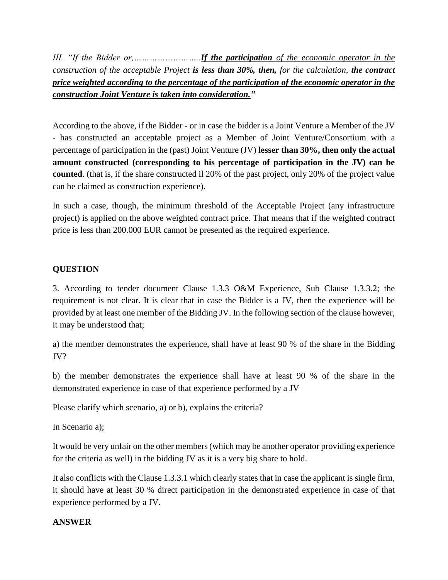*III. "If the Bidder or,……………………..If the participation of the economic operator in the construction of the acceptable Project is less than 30%, then, for the calculation, the contract price weighted according to the percentage of the participation of the economic operator in the construction Joint Venture is taken into consideration."*

According to the above, if the Bidder - or in case the bidder is a Joint Venture a Member of the JV - has constructed an acceptable project as a Member of Joint Venture/Consortium with a percentage of participation in the (past) Joint Venture (JV) **lesser than 30%, then only the actual amount constructed (corresponding to his percentage of participation in the JV) can be counted**. (that is, if the share constructed il 20% of the past project, only 20% of the project value can be claimed as construction experience).

In such a case, though, the minimum threshold of the Acceptable Project (any infrastructure project) is applied on the above weighted contract price. That means that if the weighted contract price is less than 200.000 EUR cannot be presented as the required experience.

# **QUESTION**

3. According to tender document Clause 1.3.3 O&M Experience, Sub Clause 1.3.3.2; the requirement is not clear. It is clear that in case the Bidder is a JV, then the experience will be provided by at least one member of the Bidding JV. In the following section of the clause however, it may be understood that;

a) the member demonstrates the experience, shall have at least 90 % of the share in the Bidding JV?

b) the member demonstrates the experience shall have at least 90 % of the share in the demonstrated experience in case of that experience performed by a JV

Please clarify which scenario, a) or b), explains the criteria?

In Scenario a);

It would be very unfair on the other members (which may be another operator providing experience for the criteria as well) in the bidding JV as it is a very big share to hold.

It also conflicts with the Clause 1.3.3.1 which clearly states that in case the applicant is single firm, it should have at least 30 % direct participation in the demonstrated experience in case of that experience performed by a JV.

## **ANSWER**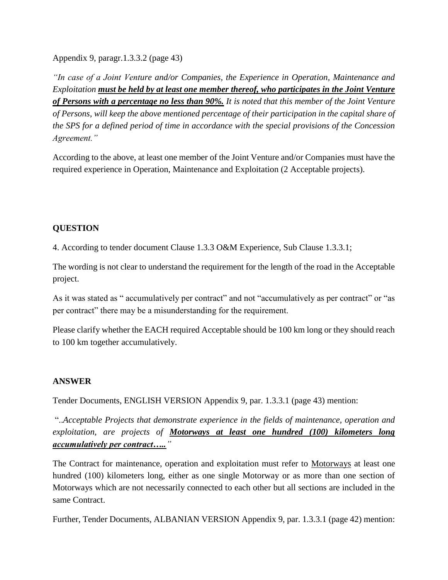Appendix 9, paragr.1.3.3.2 (page 43)

*"In case of a Joint Venture and/or Companies, the Experience in Operation, Maintenance and Exploitation must be held by at least one member thereof, who participates in the Joint Venture of Persons with a percentage no less than 90%. It is noted that this member of the Joint Venture of Persons, will keep the above mentioned percentage of their participation in the capital share of the SPS for a defined period of time in accordance with the special provisions of the Concession Agreement."*

According to the above, at least one member of the Joint Venture and/or Companies must have the required experience in Operation, Maintenance and Exploitation (2 Acceptable projects).

# **QUESTION**

4. According to tender document Clause 1.3.3 O&M Experience, Sub Clause 1.3.3.1;

The wording is not clear to understand the requirement for the length of the road in the Acceptable project.

As it was stated as " accumulatively per contract" and not "accumulatively as per contract" or "as per contract" there may be a misunderstanding for the requirement.

Please clarify whether the EACH required Acceptable should be 100 km long or they should reach to 100 km together accumulatively.

## **ANSWER**

Tender Documents, ENGLISH VERSION Appendix 9, par. 1.3.3.1 (page 43) mention:

"..*Acceptable Projects that demonstrate experience in the fields of maintenance, operation and exploitation, are projects of Motorways at least one hundred (100) kilometers long accumulatively per contract….."*

The Contract for maintenance, operation and exploitation must refer to Motorways at least one hundred (100) kilometers long, either as one single Motorway or as more than one section of Motorways which are not necessarily connected to each other but all sections are included in the same Contract.

Further, Tender Documents, ALBANIAN VERSION Appendix 9, par. 1.3.3.1 (page 42) mention: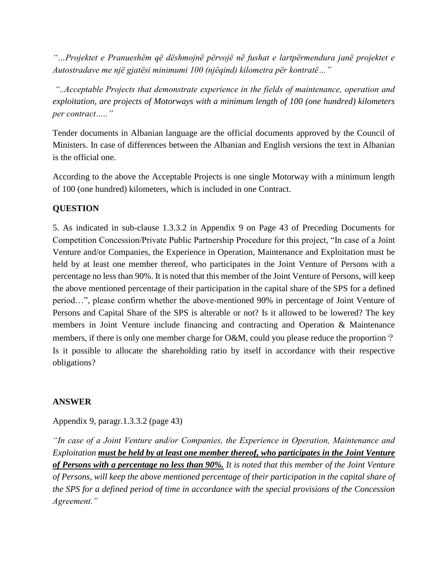*"…Projektet e Pranueshëm që dëshmojnë përvojë në fushat e lartpërmendura janë projektet e Autostradave me një gjatësi minimumi 100 (njëqind) kilometra për kontratë…"*

*"..Acceptable Projects that demonstrate experience in the fields of maintenance, operation and exploitation, are projects of Motorways with a minimum length of 100 (one hundred) kilometers per contract….."*

Tender documents in Albanian language are the official documents approved by the Council of Ministers. In case of differences between the Albanian and English versions the text in Albanian is the official one.

According to the above the Acceptable Projects is one single Motorway with a minimum length of 100 (one hundred) kilometers, which is included in one Contract.

# **QUESTION**

5. As indicated in sub-clause 1.3.3.2 in Appendix 9 on Page 43 of Preceding Documents for Competition Concession/Private Public Partnership Procedure for this project, "In case of a Joint Venture and/or Companies, the Experience in Operation, Maintenance and Exploitation must be held by at least one member thereof, who participates in the Joint Venture of Persons with a percentage no less than 90%. It is noted that this member of the Joint Venture of Persons, will keep the above mentioned percentage of their participation in the capital share of the SPS for a defined period…", please confirm whether the above-mentioned 90% in percentage of Joint Venture of Persons and Capital Share of the SPS is alterable or not? Is it allowed to be lowered? The key members in Joint Venture include financing and contracting and Operation & Maintenance members, if there is only one member charge for O&M, could you please reduce the proportion? Is it possible to allocate the shareholding ratio by itself in accordance with their respective obligations?

## **ANSWER**

Appendix 9, paragr.1.3.3.2 (page 43)

*"In case of a Joint Venture and/or Companies, the Experience in Operation, Maintenance and Exploitation must be held by at least one member thereof, who participates in the Joint Venture of Persons with a percentage no less than 90%. It is noted that this member of the Joint Venture of Persons, will keep the above mentioned percentage of their participation in the capital share of the SPS for a defined period of time in accordance with the special provisions of the Concession Agreement."*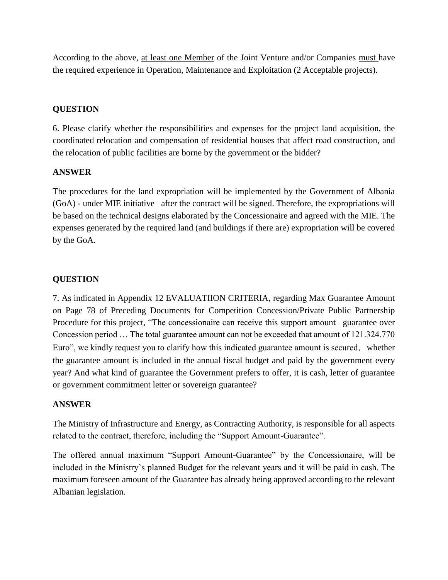According to the above, at least one Member of the Joint Venture and/or Companies must have the required experience in Operation, Maintenance and Exploitation (2 Acceptable projects).

# **QUESTION**

6. Please clarify whether the responsibilities and expenses for the project land acquisition, the coordinated relocation and compensation of residential houses that affect road construction, and the relocation of public facilities are borne by the government or the bidder?

## **ANSWER**

The procedures for the land expropriation will be implemented by the Government of Albania (GoA) - under MIE initiative– after the contract will be signed. Therefore, the expropriations will be based on the technical designs elaborated by the Concessionaire and agreed with the MIE. The expenses generated by the required land (and buildings if there are) expropriation will be covered by the GoA.

# **QUESTION**

7. As indicated in Appendix 12 EVALUATIION CRITERIA, regarding Max Guarantee Amount on Page 78 of Preceding Documents for Competition Concession/Private Public Partnership Procedure for this project, "The concessionaire can receive this support amount –guarantee over Concession period … The total guarantee amount can not be exceeded that amount of 121.324.770 Euro", we kindly request you to clarify how this indicated guarantee amount is secured, whether the guarantee amount is included in the annual fiscal budget and paid by the government every year? And what kind of guarantee the Government prefers to offer, it is cash, letter of guarantee or government commitment letter or sovereign guarantee?

## **ANSWER**

The Ministry of Infrastructure and Energy, as Contracting Authority, is responsible for all aspects related to the contract, therefore, including the "Support Amount-Guarantee".

The offered annual maximum "Support Amount-Guarantee" by the Concessionaire, will be included in the Ministry's planned Budget for the relevant years and it will be paid in cash. The maximum foreseen amount of the Guarantee has already being approved according to the relevant Albanian legislation.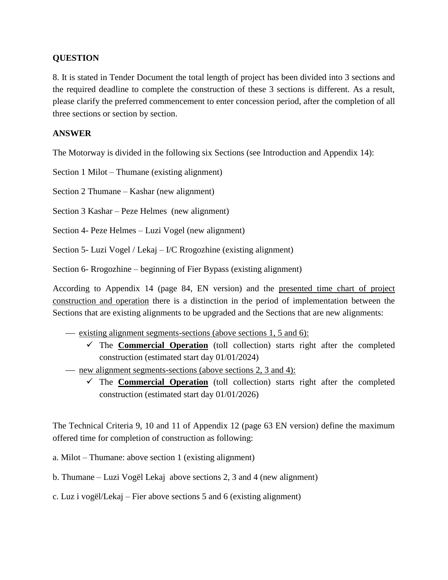#### **QUESTION**

8. It is stated in Tender Document the total length of project has been divided into 3 sections and the required deadline to complete the construction of these 3 sections is different. As a result, please clarify the preferred commencement to enter concession period, after the completion of all three sections or section by section.

#### **ANSWER**

The Motorway is divided in the following six Sections (see Introduction and Appendix 14):

Section 1 Milot – Thumane (existing alignment)

Section 2 Thumane – Kashar (new alignment)

Section 3 Kashar – Peze Helmes (new alignment)

Section 4- Peze Helmes – Luzi Vogel (new alignment)

Section 5- Luzi Vogel / Lekaj – I/C Rrogozhine (existing alignment)

Section 6- Rrogozhine – beginning of Fier Bypass (existing alignment)

According to Appendix 14 (page 84, EN version) and the presented time chart of project construction and operation there is a distinction in the period of implementation between the Sections that are existing alignments to be upgraded and the Sections that are new alignments:

- existing alignment segments-sections (above sections 1, 5 and 6):
	- The **Commercial Operation** (toll collection) starts right after the completed construction (estimated start day 01/01/2024)
- new alignment segments-sections (above sections 2, 3 and 4):
	- $\checkmark$  The **Commercial Operation** (toll collection) starts right after the completed construction (estimated start day 01/01/2026)

The Technical Criteria 9, 10 and 11 of Appendix 12 (page 63 EN version) define the maximum offered time for completion of construction as following:

- a. Milot Thumane: above section 1 (existing alignment)
- b. Thumane Luzi Vogël Lekaj above sections 2, 3 and 4 (new alignment)
- c. Luz i vogël/Lekaj Fier above sections 5 and 6 (existing alignment)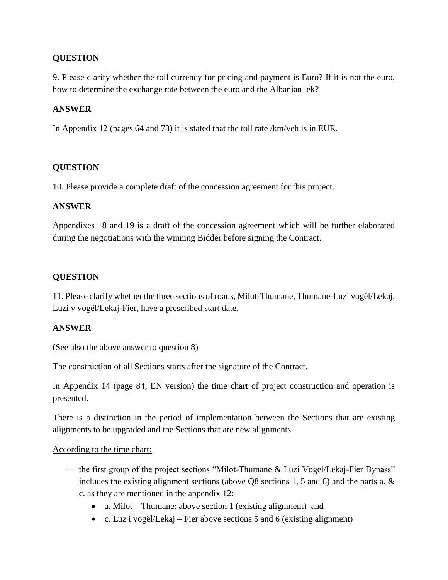## **QUESTION**

9. Please clarify whether the toll currency for pricing and payment is Euro? If it is not the euro, how to determine the exchange rate between the euro and the Albanian lek?

#### **ANSWER**

In Appendix 12 (pages 64 and 73) it is stated that the toll rate /km/veh is in EUR.

#### **QUESTION**

10. Please provide a complete draft of the concession agreement for this project.

#### **ANSWER**

Appendixes 18 and 19 is a draft of the concession agreement which will be further elaborated during the negotiations with the winning Bidder before signing the Contract.

#### **QUESTION**

11. Please clarify whether the three sections of roads, Milot-Thumane, Thumane-Luzi vogël/Lekaj, Luzi v vogël/Lekaj-Fier, have a prescribed start date.

#### **ANSWER**

(See also the above answer to question 8)

The construction of all Sections starts after the signature of the Contract.

In Appendix 14 (page 84, EN version) the time chart of project construction and operation is presented.

There is a distinction in the period of implementation between the Sections that are existing alignments to be upgraded and the Sections that are new alignments.

#### According to the time chart:

- the first group of the project sections "Milot-Thumane & Luzi Vogel/Lekaj-Fier Bypass" includes the existing alignment sections (above Q8 sections 1, 5 and 6) and the parts a. & c. as they are mentioned in the appendix 12:
	- a. Milot Thumane: above section 1 (existing alignment) and
	- c. Luz i vogël/Lekaj Fier above sections 5 and 6 (existing alignment)